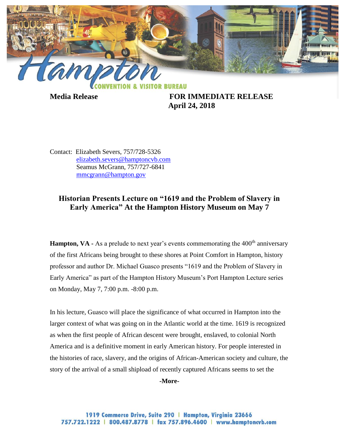

**Media Release FOR IMMEDIATE RELEASE April 24, 2018**

Contact: Elizabeth Severs, 757/728-5326 [elizabeth.severs@hamptoncvb.com](mailto:elizabeth.severs@hamptoncvb.com) Seamus McGrann, 757/727-6841 [mmcgrann@hampton.gov](mailto:mmcgrann@hampton.gov)

## **Historian Presents Lecture on "1619 and the Problem of Slavery in Early America" At the Hampton History Museum on May 7**

**Hampton, VA** - As a prelude to next year's events commemorating the 400<sup>th</sup> anniversary of the first Africans being brought to these shores at Point Comfort in Hampton, history professor and author Dr. Michael Guasco presents "1619 and the Problem of Slavery in Early America" as part of the Hampton History Museum's Port Hampton Lecture series on Monday, May 7, 7:00 p.m. -8:00 p.m.

In his lecture, Guasco will place the significance of what occurred in Hampton into the larger context of what was going on in the Atlantic world at the time. 1619 is recognized as when the first people of African descent were brought, enslaved, to colonial North America and is a definitive moment in early American history. For people interested in the histories of race, slavery, and the origins of African-American society and culture, the story of the arrival of a small shipload of recently captured Africans seems to set the

**-More-**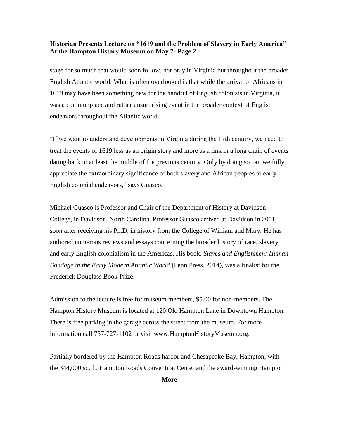## **Historian Presents Lecture on "1619 and the Problem of Slavery in Early America" At the Hampton History Museum on May 7- Page 2**

stage for so much that would soon follow, not only in Virginia but throughout the broader English Atlantic world. What is often overlooked is that while the arrival of Africans in 1619 may have been something new for the handful of English colonists in Virginia, it was a commonplace and rather unsurprising event in the broader context of English endeavors throughout the Atlantic world.

"If we want to understand developments in Virginia during the 17th century, we need to treat the events of 1619 less as an origin story and more as a link in a long chain of events dating back to at least the middle of the previous century. Only by doing so can we fully appreciate the extraordinary significance of both slavery and African peoples to early English colonial endeavors," says Guasco.

Michael Guasco is Professor and Chair of the Department of History at Davidson College, in Davidson, North Carolina. Professor Guasco arrived at Davidson in 2001, soon after receiving his Ph.D. in history from the College of William and Mary. He has authored numerous reviews and essays concerning the broader history of race, slavery, and early English colonialism in the Americas. His book, *Slaves and Englishmen: Human Bondage in the Early Modern Atlantic World* (Penn Press, 2014), was a finalist for the Frederick Douglass Book Prize.

Admission to the lecture is free for museum members, \$5.00 for non-members. The Hampton History Museum is located at 120 Old Hampton Lane in Downtown Hampton. There is free parking in the garage across the street from the museum. For more information call 757-727-1102 or visit [www.HamptonHistoryMuseum.org.](http://www.hamptonhistorymuseum.org/)

Partially bordered by the Hampton Roads harbor and Chesapeake Bay, Hampton, with the 344,000 sq. ft. Hampton Roads Convention Center and the award-winning Hampton

**-More-**